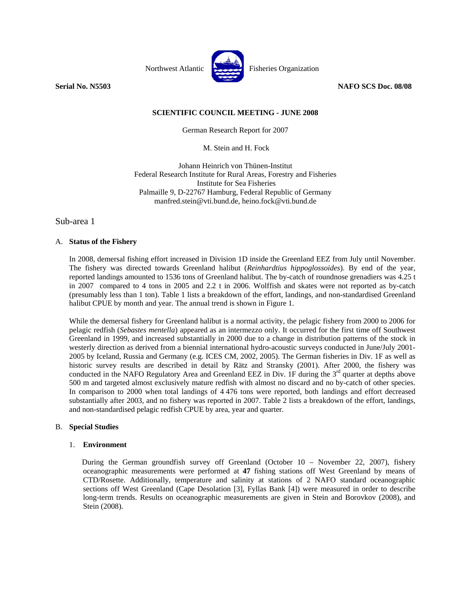

**Serial No. N5503 NAFO SCS Doc. 08/08** 

# **SCIENTIFIC COUNCIL MEETING - JUNE 2008**

German Research Report for 2007

M. Stein and H. Fock

Johann Heinrich von Thünen-Institut Federal Research Institute for Rural Areas, Forestry and Fisheries Institute for Sea Fisheries Palmaille 9, D-22767 Hamburg, Federal Republic of Germany manfred.stein@vti.bund.de, heino.fock@vti.bund.de

Sub-area 1

## A. **Status of the Fishery**

In 2008, demersal fishing effort increased in Division 1D inside the Greenland EEZ from July until November. The fishery was directed towards Greenland halibut (*Reinhardtius hippoglossoides*). By end of the year, reported landings amounted to 1536 tons of Greenland halibut. The by-catch of roundnose grenadiers was 4.25 t in 2007 compared to 4 tons in 2005 and 2.2 t in 2006. Wolffish and skates were not reported as by-catch (presumably less than 1 ton). Table 1 lists a breakdown of the effort, landings, and non-standardised Greenland halibut CPUE by month and year. The annual trend is shown in Figure 1.

While the demersal fishery for Greenland halibut is a normal activity, the pelagic fishery from 2000 to 2006 for pelagic redfish (*Sebastes mentella*) appeared as an intermezzo only. It occurred for the first time off Southwest Greenland in 1999, and increased substantially in 2000 due to a change in distribution patterns of the stock in westerly direction as derived from a biennial international hydro-acoustic surveys conducted in June/July 2001- 2005 by Iceland, Russia and Germany (e.g. ICES CM, 2002, 2005). The German fisheries in Div. 1F as well as historic survey results are described in detail by Rätz and Stransky (2001). After 2000, the fishery was conducted in the NAFO Regulatory Area and Greenland EEZ in Div. 1F during the  $3<sup>rd</sup>$  quarter at depths above 500 m and targeted almost exclusively mature redfish with almost no discard and no by-catch of other species. In comparison to 2000 when total landings of 4 476 tons were reported, both landings and effort decreased substantially after 2003, and no fishery was reported in 2007. Table 2 lists a breakdown of the effort, landings, and non-standardised pelagic redfish CPUE by area, year and quarter.

### B. **Special Studies**

### 1. **Environment**

During the German groundfish survey off Greenland (October 10 – November 22, 2007), fishery oceanographic measurements were performed at **47** fishing stations off West Greenland by means of CTD/Rosette. Additionally, temperature and salinity at stations of 2 NAFO standard oceanographic sections off West Greenland (Cape Desolation [3], Fyllas Bank [4]) were measured in order to describe long-term trends. Results on oceanographic measurements are given in Stein and Borovkov (2008), and Stein (2008).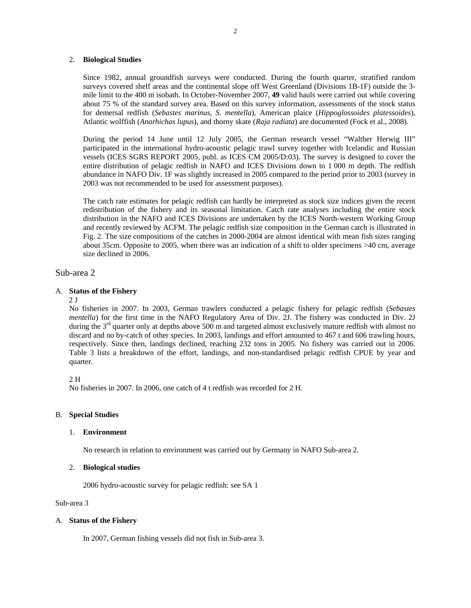### 2. **Biological Studies**

Since 1982, annual groundfish surveys were conducted. During the fourth quarter, stratified random surveys covered shelf areas and the continental slope off West Greenland (Divisions 1B-1F) outside the 3 mile limit to the 400 m isobath. In October-November 2007, **49** valid hauls were carried out while covering about 75 % of the standard survey area. Based on this survey information, assessments of the stock status for demersal redfish (*Sebastes marinus, S. mentella*), American plaice (*Hippoglossoides platessoides*), Atlantic wolffish (*Anarhichas lupus*), and thorny skate (*Raja radiata*) are documented (Fock et al., 2008).

During the period 14 June until 12 July 2005, the German research vessel "Walther Herwig III" participated in the international hydro-acoustic pelagic trawl survey together with Icelandic and Russian vessels (ICES SGRS REPORT 2005, publ. as ICES CM 2005/D:03). The survey is designed to cover the entire distribution of pelagic redfish in NAFO and ICES Divisions down to 1 000 m depth. The redfish abundance in NAFO Div. 1F was slightly increased in 2005 compared to the period prior to 2003 (survey in 2003 was not recommended to be used for assessment purposes).

The catch rate estimates for pelagic redfish can hardly be interpreted as stock size indices given the recent redistribution of the fishery and its seasonal limitation. Catch rate analyses including the entire stock distribution in the NAFO and ICES Divisions are undertaken by the ICES North-western Working Group and recently reviewed by ACFM. The pelagic redfish size composition in the German catch is illustrated in Fig. 2. The size compositions of the catches in 2000-2004 are almost identical with mean fish sizes ranging about 35cm. Opposite to 2005, when there was an indication of a shift to older specimens >40 cm, average size declined in 2006.

## Sub-area 2

### A. **Status of the Fishery**

#### $2<sub>J</sub>$

No fisheries in 2007. In 2003, German trawlers conducted a pelagic fishery for pelagic redfish (*Sebastes mentella*) for the first time in the NAFO Regulatory Area of Div. 2J. The fishery was conducted in Div. 2J during the 3<sup>rd</sup> quarter only at depths above 500 m and targeted almost exclusively mature redfish with almost no discard and no by-catch of other species. In 2003, landings and effort amounted to 467 t and 606 trawling hours, respectively. Since then, landings declined, reaching 232 tons in 2005. No fishery was carried out in 2006. Table 3 lists a breakdown of the effort, landings, and non-standardised pelagic redfish CPUE by year and quarter.

2 H

No fisheries in 2007. In 2006, one catch of 4 t redfish was recorded for 2 H.

#### B. **Special Studies**

#### 1. **Environment**

No research in relation to environment was carried out by Germany in NAFO Sub-area 2.

#### 2. **Biological studies**

2006 hydro-acoustic survey for pelagic redfish: see SA 1

Sub-area 3

#### A. **Status of the Fishery**

In 2007, German fishing vessels did not fish in Sub-area 3.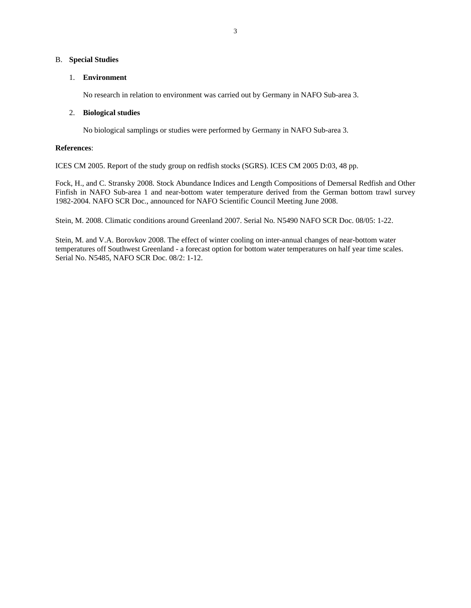### B. **Special Studies**

## 1. **Environment**

No research in relation to environment was carried out by Germany in NAFO Sub-area 3.

## 2. **Biological studies**

No biological samplings or studies were performed by Germany in NAFO Sub-area 3.

## **References**:

ICES CM 2005. Report of the study group on redfish stocks (SGRS). ICES CM 2005 D:03, 48 pp.

Fock, H., and C. Stransky 2008. Stock Abundance Indices and Length Compositions of Demersal Redfish and Other Finfish in NAFO Sub-area 1 and near-bottom water temperature derived from the German bottom trawl survey 1982-2004. NAFO SCR Doc., announced for NAFO Scientific Council Meeting June 2008.

Stein, M. 2008. Climatic conditions around Greenland 2007. Serial No. N5490 NAFO SCR Doc. 08/05: 1-22.

Stein, M. and V.A. Borovkov 2008. The effect of winter cooling on inter-annual changes of near-bottom water temperatures off Southwest Greenland - a forecast option for bottom water temperatures on half year time scales. Serial No. N5485, NAFO SCR Doc. 08/2: 1-12.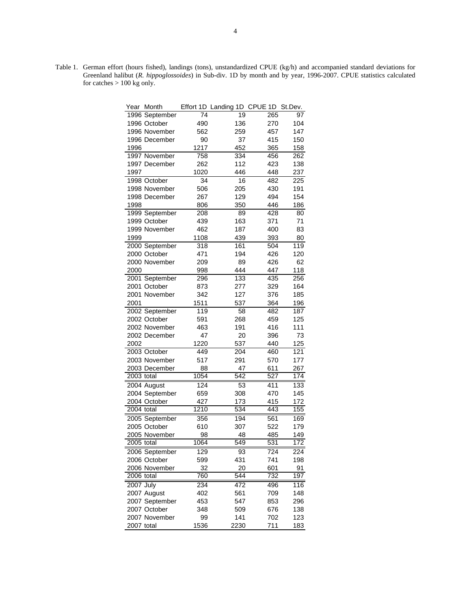Table 1. German effort (hours fished), landings (tons), unstandardized CPUE (kg/h) and accompanied standard deviations for Greenland halibut (*R. hippoglossoides*) in Sub-div. 1D by month and by year, 1996-2007. CPUE statistics calculated for catches > 100 kg only.

| Year             | Month          |      | Effort 1D Landing 1D CPUE 1D St.Dev. |     |                  |
|------------------|----------------|------|--------------------------------------|-----|------------------|
|                  | 1996 September | 74   | 19                                   | 265 | 97               |
|                  | 1996 October   | 490  | 136                                  | 270 | 104              |
|                  | 1996 November  | 562  | 259                                  | 457 | 147              |
|                  | 1996 December  | 90   | 37                                   | 415 | 150              |
| 1996             |                | 1217 | 452                                  | 365 | 158              |
|                  | 1997 November  | 758  | 334                                  | 456 | 262              |
|                  | 1997 December  | 262  | 112                                  | 423 | 138              |
| 1997             |                | 1020 | 446                                  | 448 | 237              |
|                  | 1998 October   | 34   | 16                                   | 482 | 225              |
|                  | 1998 November  | 506  | 205                                  | 430 | 191              |
|                  | 1998 December  | 267  | 129                                  | 494 | 154              |
| 1998             |                | 806  | 350                                  | 446 | 186              |
|                  | 1999 September | 208  | 89                                   | 428 | 80               |
|                  | 1999 October   | 439  | 163                                  | 371 | 71               |
|                  | 1999 November  | 462  | 187                                  | 400 | 83               |
| 1999             |                | 1108 | 439                                  | 393 | 80               |
|                  | 2000 September | 318  | 161                                  | 504 | 119              |
|                  | 2000 October   | 471  | 194                                  | 426 | 120              |
|                  | 2000 November  | 209  | 89                                   | 426 | 62               |
| 2000             |                | 998  | 444                                  | 447 | 118              |
|                  | 2001 September | 296  | 133                                  | 435 | 256              |
|                  | 2001 October   | 873  | 277                                  | 329 | 164              |
|                  | 2001 November  | 342  | 127                                  | 376 | 185              |
| 2001             |                | 1511 | 537                                  | 364 | 196              |
|                  | 2002 September | 119  | 58                                   | 482 | 187              |
|                  | 2002 October   | 591  | 268                                  | 459 | 125              |
|                  | 2002 November  | 463  | 191                                  | 416 | 111              |
|                  | 2002 December  | 47   | 20                                   | 396 | 73               |
| 2002             |                | 1220 | 537                                  | 440 | 125              |
|                  | 2003 October   | 449  | 204                                  | 460 | 121              |
|                  | 2003 November  | 517  | 291                                  | 570 | 177              |
|                  | 2003 December  | 88   | 47                                   | 611 | 267              |
| $2003$ total     |                | 1054 | 542                                  | 527 | 174              |
|                  | 2004 August    | 124  | 53                                   | 411 | 133              |
|                  | 2004 September | 659  | 308                                  | 470 | 145              |
|                  | 2004 October   | 427  | 173                                  | 415 | 172              |
| $2004$ total     |                | 1210 | 534                                  | 443 | 155              |
|                  | 2005 September | 356  | 194                                  | 561 | 169              |
|                  | 2005 October   | 610  | 307                                  | 522 | 179              |
|                  | 2005 November  | 98   | 48                                   | 485 | 149              |
| 2005 total       |                | 1064 | 549                                  | 531 | $\overline{172}$ |
|                  | 2006 September | 129  | 93                                   | 724 | 224              |
|                  | 2006 October   | 599  | 431                                  | 741 | 198              |
|                  | 2006 November  | 32   | 20                                   | 601 | 91               |
| $2006$ total     |                | 760  | 544                                  | 732 | 197              |
| <b>2007 July</b> |                | 234  | 472                                  | 496 | 116              |
|                  | 2007 August    | 402  | 561                                  | 709 | 148              |
|                  | 2007 September | 453  | 547                                  | 853 | 296              |
|                  | 2007 October   | 348  | 509                                  | 676 | 138              |
|                  | 2007 November  | 99   | 141                                  | 702 | 123              |
| 2007 total       |                | 1536 | 2230                                 | 711 | 183              |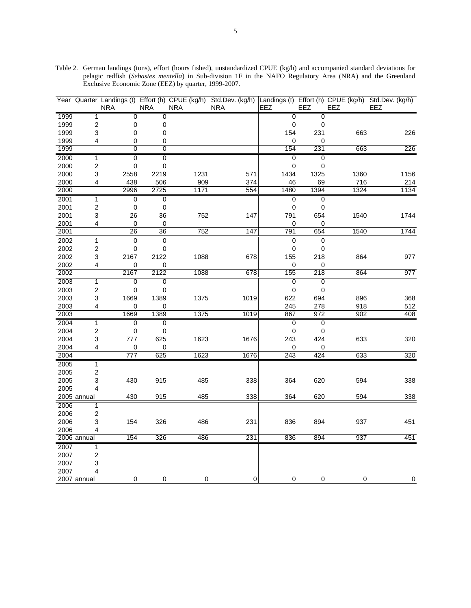|              | Year Quarter Landings (t) | <b>NRA</b> |                | Effort (h) CPUE (kg/h)<br><b>NRA</b> | <b>NRA</b> |      | <b>NRA</b> |      | EEZ  | EEZ                              | Std.Dev. (kg/h) Landings (t) Effort (h) CPUE (kg/h)<br>EEZ | Std.Dev. (kg/h)<br>EEZ |
|--------------|---------------------------|------------|----------------|--------------------------------------|------------|------|------------|------|------|----------------------------------|------------------------------------------------------------|------------------------|
| 1999         | $\mathbf{1}$              |            | $\mathbf 0$    | $\mathbf 0$                          |            |      |            |      |      | 0<br>$\mathbf{0}$                |                                                            |                        |
| 1999         | 2                         |            | 0              | 0                                    |            |      |            |      |      | $\pmb{0}$<br>0                   |                                                            |                        |
| 1999         | 3                         |            | 0              | 0                                    |            |      |            |      | 154  | 231                              | 663                                                        | 226                    |
| 1999         | 4                         |            | 0              | 0                                    |            |      |            |      |      | 0<br>0                           |                                                            |                        |
| 1999         |                           |            | $\overline{0}$ | $\overline{0}$                       |            |      |            |      | 154  | 231                              | 663                                                        | 226                    |
| 2000         | 1                         |            | 0              | 0                                    |            |      |            |      |      | 0<br>0                           |                                                            |                        |
| 2000         | $\overline{\mathbf{c}}$   |            | 0              | 0                                    |            |      |            |      |      | 0<br>0                           |                                                            |                        |
| 2000         | 3                         |            | 2558           | 2219                                 |            | 1231 |            | 571  | 1434 | 1325                             | 1360                                                       | 1156                   |
| 2000         | 4                         |            | 438            | 506                                  |            | 909  |            | 374  | 46   | 69                               | 716                                                        | 214                    |
| 2000         |                           |            | 2996           | 2725                                 |            | 1171 |            | 554  | 1480 | 1394                             | 1324                                                       | 1134                   |
| 2001         | $\overline{\mathbf{1}}$   |            | 0              | 0                                    |            |      |            |      |      | $\overline{0}$<br>0              |                                                            |                        |
| 2001         | $\overline{\mathbf{c}}$   |            | 0              | 0                                    |            |      |            |      |      | 0<br>0                           |                                                            |                        |
| 2001         | 3                         |            | 26             | 36                                   |            | 752  |            | 147  | 791  | 654                              | 1540                                                       | 1744                   |
| 2001         | 4                         |            | 0              | 0                                    |            |      |            |      |      | 0<br>0                           |                                                            |                        |
| 2001         |                           |            | 26             | 36                                   |            | 752  |            | 147  | 791  | 654                              | 1540                                                       | 1744                   |
| 2002         | $\mathbf{1}$              |            | $\overline{0}$ | $\overline{0}$                       |            |      |            |      |      | $\overline{0}$<br>$\overline{0}$ |                                                            |                        |
| 2002         | $\overline{\mathbf{c}}$   |            | 0              | 0                                    |            |      |            |      |      | 0<br>0                           |                                                            |                        |
| 2002         | 3                         |            | 2167           | 2122                                 |            | 1088 |            | 678  | 155  | 218                              | 864                                                        | 977                    |
| 2002         | 4                         |            | 0              | 0                                    |            |      |            |      |      | 0<br>0                           |                                                            |                        |
| 2002         |                           |            | 2167           | 2122                                 |            | 1088 |            | 678  | 155  | 218                              | 864                                                        | 977                    |
| 2003         | $\overline{1}$            |            | $\overline{0}$ | $\overline{0}$                       |            |      |            |      |      | $\overline{0}$<br>$\overline{0}$ |                                                            |                        |
| 2003         | $\sqrt{2}$                |            | 0              | 0                                    |            |      |            |      |      | 0<br>0                           |                                                            |                        |
| 2003         | 3                         |            | 1669           | 1389                                 |            | 1375 |            | 1019 | 622  | 694                              | 896                                                        | 368                    |
| 2003         | 4                         |            | 0              | 0                                    |            |      |            |      | 245  | 278                              | 918                                                        | 512                    |
| 2003         |                           |            | 1669           | 1389                                 |            | 1375 |            | 1019 | 867  | 972                              | 902                                                        | 408                    |
| 2004         | $\mathbf{1}$              |            | 0              | 0                                    |            |      |            |      |      | 0<br>0                           |                                                            |                        |
| 2004         | $\overline{c}$            |            | 0              | 0                                    |            |      |            |      |      | 0<br>0                           |                                                            |                        |
| 2004         | 3                         |            | 777            | 625                                  |            | 1623 |            | 1676 | 243  | 424                              | 633                                                        | 320                    |
| 2004         | 4                         |            | 0              | 0                                    |            |      |            |      |      | 0<br>0                           |                                                            |                        |
| 2004         |                           |            | 777            | 625                                  |            | 1623 |            | 1676 | 243  | 424                              | 633                                                        | 320                    |
| 2005         | $\mathbf 1$               |            |                |                                      |            |      |            |      |      |                                  |                                                            |                        |
| 2005         | 2                         |            |                |                                      |            |      |            |      |      |                                  |                                                            |                        |
| 2005         | 3                         |            | 430            | 915                                  |            | 485  |            | 338  | 364  | 620                              | 594                                                        | 338                    |
| 2005         | 4                         |            |                |                                      |            | 485  |            | 338  |      |                                  |                                                            |                        |
|              | 2005 annual               |            | 430            | 915                                  |            |      |            |      | 364  | 620                              | 594                                                        | 338                    |
| 2006         | 1                         |            |                |                                      |            |      |            |      |      |                                  |                                                            |                        |
| 2006         | $\overline{2}$            |            |                |                                      |            |      |            |      |      |                                  |                                                            |                        |
| 2006<br>2006 | 3                         |            | 154            | 326                                  |            | 486  |            | 231  | 836  | 894                              | 937                                                        | 451                    |
|              | 4<br>2006 annual          |            | 154            | 326                                  |            | 486  |            | 231  | 836  | 894                              | 937                                                        | 451                    |
| 2007         |                           |            |                |                                      |            |      |            |      |      |                                  |                                                            |                        |
| 2007         | 1<br>$\overline{2}$       |            |                |                                      |            |      |            |      |      |                                  |                                                            |                        |
| 2007         | 3                         |            |                |                                      |            |      |            |      |      |                                  |                                                            |                        |
| 2007         | 4                         |            |                |                                      |            |      |            |      |      |                                  |                                                            |                        |
|              | 2007 annual               |            | 0              | 0                                    |            | 0    |            | 0    |      | 0<br>0                           | 0                                                          | 0                      |

Table 2. German landings (tons), effort (hours fished), unstandardized CPUE (kg/h) and accompanied standard deviations for pelagic redfish (*Sebastes mentella*) in Sub-division 1F in the NAFO Regulatory Area (NRA) and the Greenland Exclusive Economic Zone (EEZ) by quarter, 1999-2007.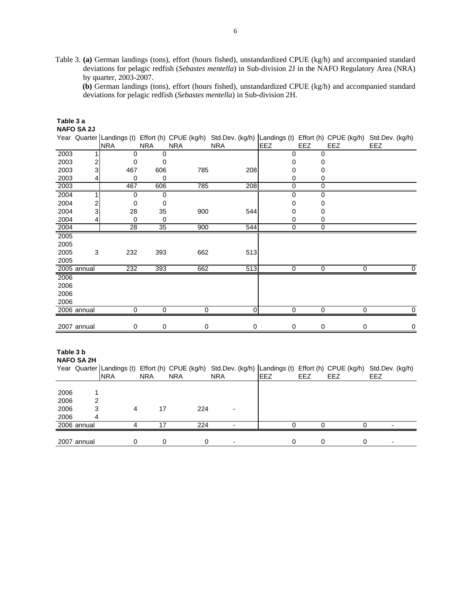Table 3. **(a)** German landings (tons), effort (hours fished), unstandardized CPUE (kg/h) and accompanied standard deviations for pelagic redfish (*Sebastes mentella*) in Sub-division 2J in the NAFO Regulatory Area (NRA) by quarter, 2003-2007.

**(b)** German landings (tons), effort (hours fished), unstandardized CPUE (kg/h) and accompanied standard deviations for pelagic redfish (*Sebastes mentella*) in Sub-division 2H.

|      | <b>NAFO SA 2J</b> |                 |             |            |                |            |             |     |                                                                                                                      |
|------|-------------------|-----------------|-------------|------------|----------------|------------|-------------|-----|----------------------------------------------------------------------------------------------------------------------|
|      |                   |                 |             |            |                |            |             |     | Year Quarter Landings (t) Effort (h) CPUE (kg/h) Std.Dev. (kg/h) Landings (t) Effort (h) CPUE (kg/h) Std.Dev. (kg/h) |
|      |                   | <b>NRA</b>      | <b>NRA</b>  | <b>NRA</b> | <b>NRA</b>     | <b>EEZ</b> | <b>EEZ</b>  | EEZ | EEZ                                                                                                                  |
| 2003 |                   | 0               | 0           |            |                | 0          | 0           |     |                                                                                                                      |
| 2003 |                   | 0               | 0           |            |                | 0          | 0           |     |                                                                                                                      |
| 2003 | 3                 | 467             | 606         | 785        | 208            | 0          | 0           |     |                                                                                                                      |
| 2003 |                   | 0               | 0           |            |                | 0          | 0           |     |                                                                                                                      |
| 2003 |                   | 467             | 606         | 785        | 208            | 0          | 0           |     |                                                                                                                      |
| 2004 |                   | 0               | $\mathbf 0$ |            |                | 0          | 0           |     |                                                                                                                      |
| 2004 |                   | $\Omega$        | 0           |            |                | 0          | 0           |     |                                                                                                                      |
| 2004 | 3                 | 28              | 35          | 900        | 544            | 0          | 0           |     |                                                                                                                      |
| 2004 | 4                 | $\mathbf 0$     | 0           |            |                | 0          | 0           |     |                                                                                                                      |
| 2004 |                   | $\overline{28}$ | 35          | 900        | 544            | 0          | $\Omega$    |     |                                                                                                                      |
| 2005 |                   |                 |             |            |                |            |             |     |                                                                                                                      |
| 2005 |                   |                 |             |            |                |            |             |     |                                                                                                                      |
| 2005 | 3                 | 232             | 393         | 662        | 513            |            |             |     |                                                                                                                      |
| 2005 |                   |                 |             |            |                |            |             |     |                                                                                                                      |
|      | 2005 annual       | 232             | 393         | 662        | 513            | 0          | 0           | 0   | 0                                                                                                                    |
| 2006 |                   |                 |             |            |                |            |             |     |                                                                                                                      |
| 2006 |                   |                 |             |            |                |            |             |     |                                                                                                                      |
| 2006 |                   |                 |             |            |                |            |             |     |                                                                                                                      |
| 2006 |                   |                 |             |            |                |            |             |     |                                                                                                                      |
|      | 2006 annual       | 0               | 0           | 0          | $\overline{0}$ | 0          | $\mathbf 0$ | 0   | 0                                                                                                                    |
|      |                   |                 |             |            |                |            |             |     |                                                                                                                      |
|      | 2007 annual       | 0               | 0           | 0          | 0              | 0          | 0           | 0   | $\mathbf 0$                                                                                                          |

# **Table 3 b**

**Table 3 a** 

**NAFO SA 2H**

|      |             | <b>INRA</b> | <b>NRA</b> | <b>NRA</b> | <b>NRA</b> | <b>IEEZ</b> | EEZ | EEZ | Year Quarter Landings (t) Effort (h) CPUE (kg/h) Std.Dev. (kg/h) Landings (t) Effort (h) CPUE (kg/h) Std.Dev. (kg/h)<br>EEZ |
|------|-------------|-------------|------------|------------|------------|-------------|-----|-----|-----------------------------------------------------------------------------------------------------------------------------|
|      |             |             |            |            |            |             |     |     |                                                                                                                             |
| 2006 |             |             |            |            |            |             |     |     |                                                                                                                             |
| 2006 | 2           |             |            |            |            |             |     |     |                                                                                                                             |
| 2006 | 3           | 4           | 17         | 224        |            |             |     |     |                                                                                                                             |
| 2006 | 4           |             |            |            |            |             |     |     |                                                                                                                             |
|      | 2006 annual |             | . 7        | 224        |            |             |     |     | $\overline{\phantom{0}}$                                                                                                    |
|      |             |             |            |            |            |             |     |     |                                                                                                                             |
|      | 2007 annual |             |            |            |            |             |     |     |                                                                                                                             |
|      |             |             |            |            |            |             |     |     |                                                                                                                             |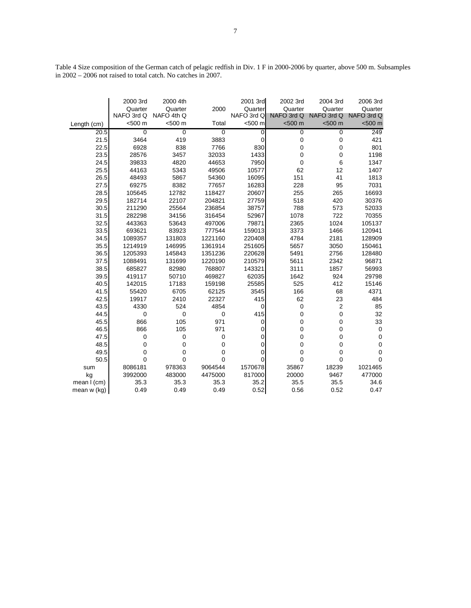Table 4 Size composition of the German catch of pelagic redfish in Div. 1 F in 2000-2006 by quarter, above 500 m. Subsamples in 2002 – 2006 not raised to total catch. No catches in 2007.

|             | 2000 3rd    | 2000 4th    |             | 2001 3rd       | 2002 3rd    | 2004 3rd       | 2006 3rd    |
|-------------|-------------|-------------|-------------|----------------|-------------|----------------|-------------|
|             | Quarter     | Quarter     | 2000        | Quarter        | Quarter     | Quarter        | Quarter     |
|             | NAFO 3rd Q  | NAFO 4th Q  |             | NAFO 3rd Q     | NAFO 3rd Q  | NAFO 3rd Q     | NAFO 3rd Q  |
| Length (cm) | <500 m      | <500 m      | Total       | <500 m         | < 500 m     | < 500 m        | < 500 m     |
| 20.5        | $\mathbf 0$ | $\mathbf 0$ | 0           | 0              | 0           | 0              | 249         |
| 21.5        | 3464        | 419         | 3883        | 0              | 0           | 0              | 421         |
| 22.5        | 6928        | 838         | 7766        | 830            | 0           | 0              | 801         |
| 23.5        | 28576       | 3457        | 32033       | 1433           | 0           | 0              | 1198        |
| 24.5        | 39833       | 4820        | 44653       | 7950           | 0           | 6              | 1347        |
| 25.5        | 44163       | 5343        | 49506       | 10577          | 62          | 12             | 1407        |
| 26.5        | 48493       | 5867        | 54360       | 16095          | 151         | 41             | 1813        |
| 27.5        | 69275       | 8382        | 77657       | 16283          | 228         | 95             | 7031        |
| 28.5        | 105645      | 12782       | 118427      | 20607          | 255         | 265            | 16693       |
| 29.5        | 182714      | 22107       | 204821      | 27759          | 518         | 420            | 30376       |
| 30.5        | 211290      | 25564       | 236854      | 38757          | 788         | 573            | 52033       |
| 31.5        | 282298      | 34156       | 316454      | 52967          | 1078        | 722            | 70355       |
| 32.5        | 443363      | 53643       | 497006      | 79871          | 2365        | 1024           | 105137      |
| 33.5        | 693621      | 83923       | 777544      | 159013         | 3373        | 1466           | 120941      |
| 34.5        | 1089357     | 131803      | 1221160     | 220408         | 4784        | 2181           | 128909      |
| 35.5        | 1214919     | 146995      | 1361914     | 251605         | 5657        | 3050           | 150461      |
| 36.5        | 1205393     | 145843      | 1351236     | 220628         | 5491        | 2756           | 128480      |
| 37.5        | 1088491     | 131699      | 1220190     | 210579         | 5611        | 2342           | 96871       |
| 38.5        | 685827      | 82980       | 768807      | 143321         | 3111        | 1857           | 56993       |
| 39.5        | 419117      | 50710       | 469827      | 62035          | 1642        | 924            | 29798       |
| 40.5        | 142015      | 17183       | 159198      | 25585          | 525         | 412            | 15146       |
| 41.5        | 55420       | 6705        | 62125       | 3545           | 166         | 68             | 4371        |
| 42.5        | 19917       | 2410        | 22327       | 415            | 62          | 23             | 484         |
| 43.5        | 4330        | 524         | 4854        | $\overline{0}$ | $\mathbf 0$ | $\overline{2}$ | 85          |
| 44.5        | $\mathbf 0$ | $\mathbf 0$ | $\mathbf 0$ | 415            | 0           | 0              | 32          |
| 45.5        | 866         | 105         | 971         | 0              | 0           | 0              | 33          |
| 46.5        | 866         | 105         | 971         | 0              | 0           | 0              | $\mathbf 0$ |
| 47.5        | $\mathbf 0$ | 0           | 0           | 0              | 0           | 0              | 0           |
| 48.5        | 0           | 0           | 0           | 0              | 0           | 0              | $\mathbf 0$ |
| 49.5        | 0           | 0           | 0           | 0              | 0           | 0              | $\mathbf 0$ |
| 50.5        | 0           | 0           | 0           | 0              | 0           | 0              | $\Omega$    |
| sum         | 8086181     | 978363      | 9064544     | 1570678        | 35867       | 18239          | 1021465     |
| kg          | 3992000     | 483000      | 4475000     | 817000         | 20000       | 9467           | 477000      |
| mean I (cm) | 35.3        | 35.3        | 35.3        | 35.2           | 35.5        | 35.5           | 34.6        |
| mean w (kg) | 0.49        | 0.49        | 0.49        | 0.52           | 0.56        | 0.52           | 0.47        |